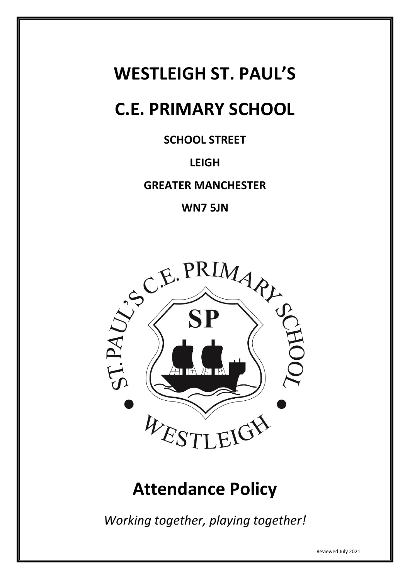# **WESTLEIGH ST. PAUL'S**

# **C.E. PRIMARY SCHOOL**

**SCHOOL STREET**

# **LEIGH**

**GREATER MANCHESTER**

**WN7 5JN**



# **Attendance Policy**

*Working together, playing together!*

Reviewed July 2021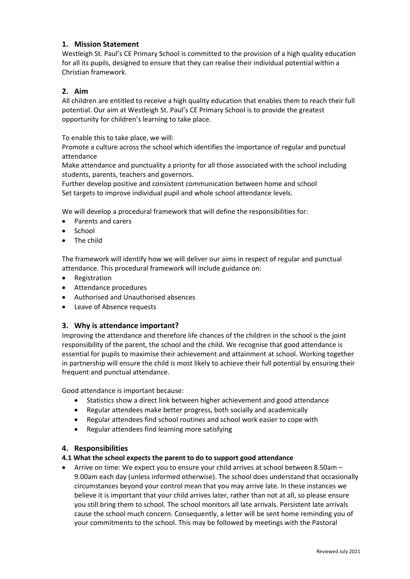# **1. Mission Statement**

Westleigh St. Paul's CE Primary School is committed to the provision of a high quality education for all its pupils, designed to ensure that they can realise their individual potential within a Christian framework.

# **2. Aim**

All children are entitled to receive a high quality education that enables them to reach their full potential. Our aim at Westleigh St. Paul's CE Primary School is to provide the greatest opportunity for children's learning to take place.

To enable this to take place, we will:

Promote a culture across the school which identifies the importance of regular and punctual attendance

Make attendance and punctuality a priority for all those associated with the school including students, parents, teachers and governors.

Further develop positive and consistent communication between home and school Set targets to improve individual pupil and whole school attendance levels.

We will develop a procedural framework that will define the responsibilities for:

- Parents and carers
- School
- The child

The framework will identify how we will deliver our aims in respect of regular and punctual attendance. This procedural framework will include guidance on:

- Registration
- Attendance procedures
- Authorised and Unauthorised absences
- Leave of Absence requests

#### **3. Why is attendance important?**

Improving the attendance and therefore life chances of the children in the school is the joint responsibility of the parent, the school and the child. We recognise that good attendance is essential for pupils to maximise their achievement and attainment at school. Working together in partnership will ensure the child is most likely to achieve their full potential by ensuring their frequent and punctual attendance.

Good attendance is important because:

- Statistics show a direct link between higher achievement and good attendance
- Regular attendees make better progress, both socially and academically
- Regular attendees find school routines and school work easier to cope with
- Regular attendees find learning more satisfying

#### **4. Responsibilities**

#### **4.1 What the school expects the parent to do to support good attendance**

 Arrive on time: We expect you to ensure your child arrives at school between 8.50am – 9.00am each day (unless informed otherwise). The school does understand that occasionally circumstances beyond your control mean that you may arrive late. In these instances we believe it is important that your child arrives later, rather than not at all, so please ensure you still bring them to school. The school monitors all late arrivals. Persistent late arrivals cause the school much concern. Consequently, a letter will be sent home reminding you of your commitments to the school. This may be followed by meetings with the Pastoral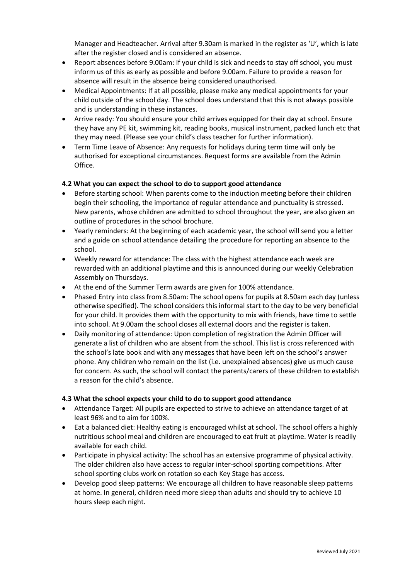Manager and Headteacher. Arrival after 9.30am is marked in the register as 'U', which is late after the register closed and is considered an absence.

- Report absences before 9.00am: If your child is sick and needs to stay off school, you must inform us of this as early as possible and before 9.00am. Failure to provide a reason for absence will result in the absence being considered unauthorised.
- Medical Appointments: If at all possible, please make any medical appointments for your child outside of the school day. The school does understand that this is not always possible and is understanding in these instances.
- Arrive ready: You should ensure your child arrives equipped for their day at school. Ensure they have any PE kit, swimming kit, reading books, musical instrument, packed lunch etc that they may need. (Please see your child's class teacher for further information).
- Term Time Leave of Absence: Any requests for holidays during term time will only be authorised for exceptional circumstances. Request forms are available from the Admin Office.

#### **4.2 What you can expect the school to do to support good attendance**

- Before starting school: When parents come to the induction meeting before their children begin their schooling, the importance of regular attendance and punctuality is stressed. New parents, whose children are admitted to school throughout the year, are also given an outline of procedures in the school brochure.
- Yearly reminders: At the beginning of each academic year, the school will send you a letter and a guide on school attendance detailing the procedure for reporting an absence to the school.
- Weekly reward for attendance: The class with the highest attendance each week are rewarded with an additional playtime and this is announced during our weekly Celebration Assembly on Thursdays.
- At the end of the Summer Term awards are given for 100% attendance.
- Phased Entry into class from 8.50am: The school opens for pupils at 8.50am each day (unless otherwise specified). The school considers this informal start to the day to be very beneficial for your child. It provides them with the opportunity to mix with friends, have time to settle into school. At 9.00am the school closes all external doors and the register is taken.
- Daily monitoring of attendance: Upon completion of registration the Admin Officer will generate a list of children who are absent from the school. This list is cross referenced with the school's late book and with any messages that have been left on the school's answer phone. Any children who remain on the list (i.e. unexplained absences) give us much cause for concern. As such, the school will contact the parents/carers of these children to establish a reason for the child's absence.

#### **4.3 What the school expects your child to do to support good attendance**

- Attendance Target: All pupils are expected to strive to achieve an attendance target of at least 96% and to aim for 100%.
- Eat a balanced diet: Healthy eating is encouraged whilst at school. The school offers a highly nutritious school meal and children are encouraged to eat fruit at playtime. Water is readily available for each child.
- Participate in physical activity: The school has an extensive programme of physical activity. The older children also have access to regular inter-school sporting competitions. After school sporting clubs work on rotation so each Key Stage has access.
- Develop good sleep patterns: We encourage all children to have reasonable sleep patterns at home. In general, children need more sleep than adults and should try to achieve 10 hours sleep each night.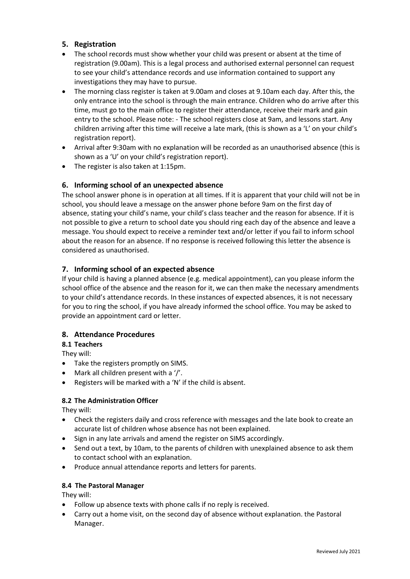# **5. Registration**

- The school records must show whether your child was present or absent at the time of registration (9.00am). This is a legal process and authorised external personnel can request to see your child's attendance records and use information contained to support any investigations they may have to pursue.
- The morning class register is taken at 9.00am and closes at 9.10am each day. After this, the only entrance into the school is through the main entrance. Children who do arrive after this time, must go to the main office to register their attendance, receive their mark and gain entry to the school. Please note: - The school registers close at 9am, and lessons start. Any children arriving after this time will receive a late mark, (this is shown as a 'L' on your child's registration report).
- Arrival after 9:30am with no explanation will be recorded as an unauthorised absence (this is shown as a 'U' on your child's registration report).
- The register is also taken at 1:15pm.

# **6. Informing school of an unexpected absence**

The school answer phone is in operation at all times. If it is apparent that your child will not be in school, you should leave a message on the answer phone before 9am on the first day of absence, stating your child's name, your child's class teacher and the reason for absence. If it is not possible to give a return to school date you should ring each day of the absence and leave a message. You should expect to receive a reminder text and/or letter if you fail to inform school about the reason for an absence. If no response is received following this letter the absence is considered as unauthorised.

# **7. Informing school of an expected absence**

If your child is having a planned absence (e.g. medical appointment), can you please inform the school office of the absence and the reason for it, we can then make the necessary amendments to your child's attendance records. In these instances of expected absences, it is not necessary for you to ring the school, if you have already informed the school office. You may be asked to provide an appointment card or letter.

# **8. Attendance Procedures**

**8.1 Teachers**

They will:

- Take the registers promptly on SIMS.
- $\bullet$  Mark all children present with a '/'.
- Registers will be marked with a 'N' if the child is absent.

# **8.2 The Administration Officer**

They will:

- Check the registers daily and cross reference with messages and the late book to create an accurate list of children whose absence has not been explained.
- Sign in any late arrivals and amend the register on SIMS accordingly.
- Send out a text, by 10am, to the parents of children with unexplained absence to ask them to contact school with an explanation.
- Produce annual attendance reports and letters for parents.

# **8.4 The Pastoral Manager**

They will:

- Follow up absence texts with phone calls if no reply is received.
- Carry out a home visit, on the second day of absence without explanation. the Pastoral Manager.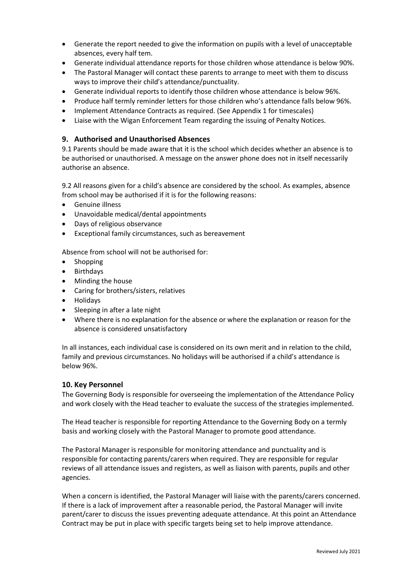- Generate the report needed to give the information on pupils with a level of unacceptable absences, every half tem.
- Generate individual attendance reports for those children whose attendance is below 90%.
- The Pastoral Manager will contact these parents to arrange to meet with them to discuss ways to improve their child's attendance/punctuality.
- Generate individual reports to identify those children whose attendance is below 96%.
- Produce half termly reminder letters for those children who's attendance falls below 96%.
- Implement Attendance Contracts as required. (See Appendix 1 for timescales)
- Liaise with the Wigan Enforcement Team regarding the issuing of Penalty Notices.

#### **9. Authorised and Unauthorised Absences**

9.1 Parents should be made aware that it is the school which decides whether an absence is to be authorised or unauthorised. A message on the answer phone does not in itself necessarily authorise an absence.

9.2 All reasons given for a child's absence are considered by the school. As examples, absence from school may be authorised if it is for the following reasons:

- Genuine illness
- Unavoidable medical/dental appointments
- Days of religious observance
- Exceptional family circumstances, such as bereavement

Absence from school will not be authorised for:

- Shopping
- Birthdays
- Minding the house
- Caring for brothers/sisters, relatives
- Holidays
- Sleeping in after a late night
- Where there is no explanation for the absence or where the explanation or reason for the absence is considered unsatisfactory

In all instances, each individual case is considered on its own merit and in relation to the child, family and previous circumstances. No holidays will be authorised if a child's attendance is below 96%.

#### **10. Key Personnel**

The Governing Body is responsible for overseeing the implementation of the Attendance Policy and work closely with the Head teacher to evaluate the success of the strategies implemented.

The Head teacher is responsible for reporting Attendance to the Governing Body on a termly basis and working closely with the Pastoral Manager to promote good attendance.

The Pastoral Manager is responsible for monitoring attendance and punctuality and is responsible for contacting parents/carers when required. They are responsible for regular reviews of all attendance issues and registers, as well as liaison with parents, pupils and other agencies.

When a concern is identified, the Pastoral Manager will liaise with the parents/carers concerned. If there is a lack of improvement after a reasonable period, the Pastoral Manager will invite parent/carer to discuss the issues preventing adequate attendance. At this point an Attendance Contract may be put in place with specific targets being set to help improve attendance.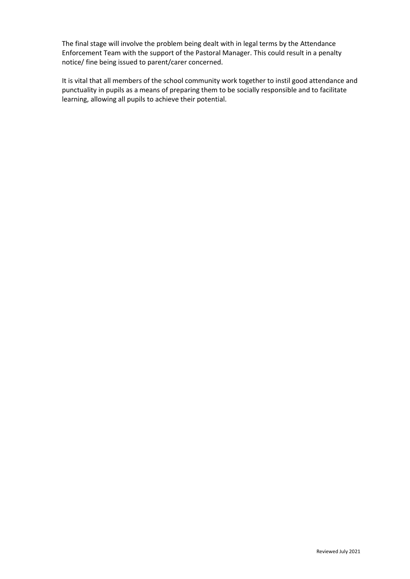The final stage will involve the problem being dealt with in legal terms by the Attendance Enforcement Team with the support of the Pastoral Manager. This could result in a penalty notice/ fine being issued to parent/carer concerned.

It is vital that all members of the school community work together to instil good attendance and punctuality in pupils as a means of preparing them to be socially responsible and to facilitate learning, allowing all pupils to achieve their potential.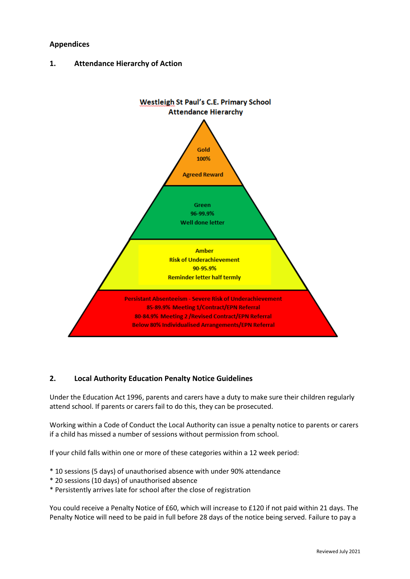## **Appendices**

**1. Attendance Hierarchy of Action**



# **2. Local Authority Education Penalty Notice Guidelines**

Under the Education Act 1996, parents and carers have a duty to make sure their children regularly attend school. If parents or carers fail to do this, they can be prosecuted.

Working within a Code of Conduct the Local Authority can issue a penalty notice to parents or carers if a child has missed a number of sessions without permission from school.

If your child falls within one or more of these categories within a 12 week period:

- \* 10 sessions (5 days) of unauthorised absence with under 90% attendance
- \* 20 sessions (10 days) of unauthorised absence
- \* Persistently arrives late for school after the close of registration

You could receive a Penalty Notice of £60, which will increase to £120 if not paid within 21 days. The Penalty Notice will need to be paid in full before 28 days of the notice being served. Failure to pay a